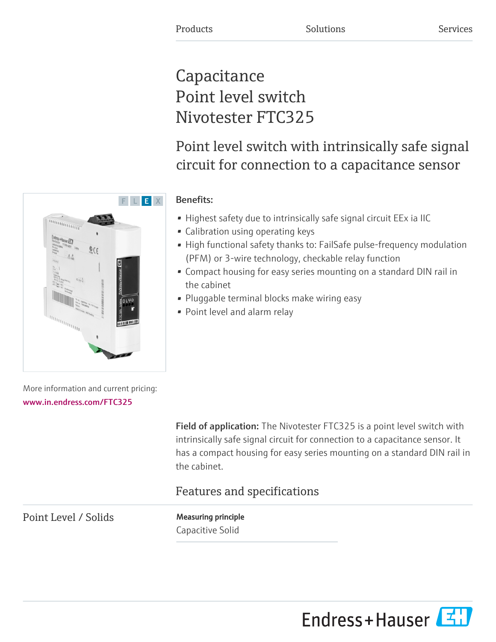# **Capacitance** Point level switch Nivotester FTC325

# Point level switch with intrinsically safe signal circuit for connection to a capacitance sensor



- Highest safety due to intrinsically safe signal circuit EEx ia IIC
- Calibration using operating keys
- High functional safety thanks to: FailSafe pulse-frequency modulation (PFM) or 3-wire technology, checkable relay function
- Compact housing for easy series mounting on a standard DIN rail in the cabinet
- Pluggable terminal blocks make wiring easy
- Point level and alarm relay

More information and current pricing: [www.in.endress.com/FTC325](https://www.in.endress.com/FTC325)

> Field of application: The Nivotester FTC325 is a point level switch with intrinsically safe signal circuit for connection to a capacitance sensor. It has a compact housing for easy series mounting on a standard DIN rail in the cabinet.

# Features and specifications

Point Level / Solids Measuring principle

Capacitive Solid



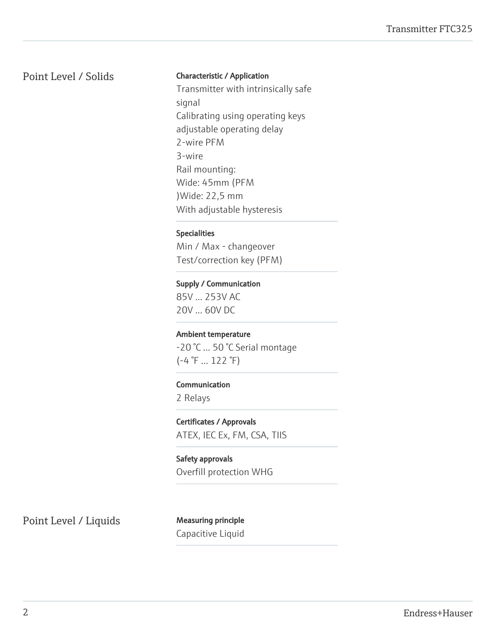# Point Level / Solids Characteristic / Application

Transmitter with intrinsically safe signal Calibrating using operating keys adjustable operating delay 2-wire PFM 3-wire Rail mounting: Wide: 45mm (PFM )Wide: 22,5 mm With adjustable hysteresis

#### Specialities

Min / Max - changeover Test/correction key (PFM)

#### Supply / Communication

85V ... 253V AC 20V ... 60V DC

#### Ambient temperature

-20 °C ... 50 °C Serial montage  $(-4 \degree F ... 122 \degree F)$ 

#### Communication

2 Relays

Certificates / Approvals ATEX, IEC Ex, FM, CSA, TIIS

Safety approvals Overfill protection WHG

Point Level / Liquids Measuring principle

Capacitive Liquid